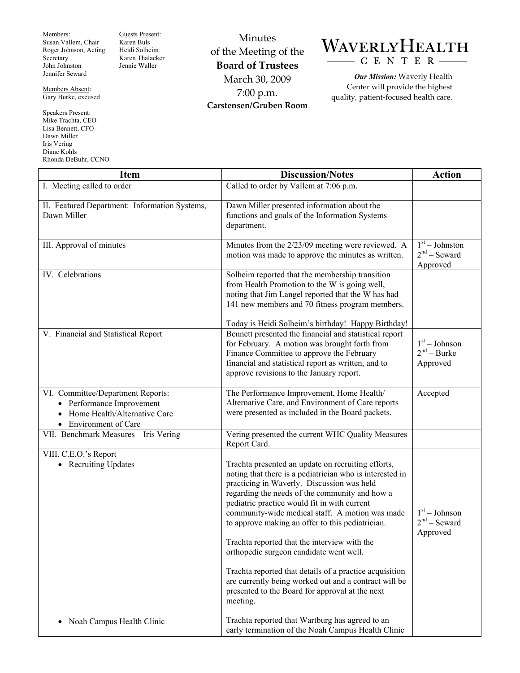Members: Susan Vallem, Chair Roger Johnson, Acting Secretary John Johnston Jennifer Seward

Members Absent: Gary Burke, excused

Speakers Present: Mike Trachta, CEO Lisa Bennett, CFO Dawn Miller Iris Vering Diane Kohls Rhonda DeBuhr, CCNO Guests Present: Karen Buls Heidi Solheim Karen Thalacker Jennie Waller

Minutes of the Meeting of the **Board of Trustees**  March 30, 2009 7:00 p.m. **Carstensen/Gruben Room** 

## WAVERLYHEALTH CENTER

*Our Mission:* Waverly Health Center will provide the highest quality, patient-focused health care.

| <b>Item</b>                                                                                                                | <b>Discussion/Notes</b>                                                                                                                                                                                                                                                                                                                                                                                                                                                                                                                                                                                                                             | <b>Action</b>                                  |
|----------------------------------------------------------------------------------------------------------------------------|-----------------------------------------------------------------------------------------------------------------------------------------------------------------------------------------------------------------------------------------------------------------------------------------------------------------------------------------------------------------------------------------------------------------------------------------------------------------------------------------------------------------------------------------------------------------------------------------------------------------------------------------------------|------------------------------------------------|
| I. Meeting called to order                                                                                                 | Called to order by Vallem at $\overline{7:06}$ p.m.                                                                                                                                                                                                                                                                                                                                                                                                                                                                                                                                                                                                 |                                                |
| II. Featured Department: Information Systems,<br>Dawn Miller                                                               | Dawn Miller presented information about the<br>functions and goals of the Information Systems<br>department.                                                                                                                                                                                                                                                                                                                                                                                                                                                                                                                                        |                                                |
| III. Approval of minutes                                                                                                   | Minutes from the 2/23/09 meeting were reviewed. A<br>motion was made to approve the minutes as written.                                                                                                                                                                                                                                                                                                                                                                                                                                                                                                                                             | $1st - Johnston$<br>$2nd$ – Seward<br>Approved |
| IV. Celebrations                                                                                                           | Solheim reported that the membership transition<br>from Health Promotion to the W is going well,<br>noting that Jim Langel reported that the W has had<br>141 new members and 70 fitness program members.<br>Today is Heidi Solheim's birthday! Happy Birthday!                                                                                                                                                                                                                                                                                                                                                                                     |                                                |
| V. Financial and Statistical Report                                                                                        | Bennett presented the financial and statistical report<br>for February. A motion was brought forth from<br>Finance Committee to approve the February<br>financial and statistical report as written, and to<br>approve revisions to the January report.                                                                                                                                                                                                                                                                                                                                                                                             | $1st - Johnson$<br>$2nd - Burke$<br>Approved   |
| VI. Committee/Department Reports:<br>Performance Improvement<br>Home Health/Alternative Care<br><b>Environment of Care</b> | The Performance Improvement, Home Health/<br>Alternative Care, and Environment of Care reports<br>were presented as included in the Board packets.                                                                                                                                                                                                                                                                                                                                                                                                                                                                                                  | Accepted                                       |
| VII. Benchmark Measures - Iris Vering                                                                                      | Vering presented the current WHC Quality Measures<br>Report Card.                                                                                                                                                                                                                                                                                                                                                                                                                                                                                                                                                                                   |                                                |
| VIII. C.E.O.'s Report<br><b>Recruiting Updates</b><br>$\bullet$                                                            | Trachta presented an update on recruiting efforts,<br>noting that there is a pediatrician who is interested in<br>practicing in Waverly. Discussion was held<br>regarding the needs of the community and how a<br>pediatric practice would fit in with current<br>community-wide medical staff. A motion was made<br>to approve making an offer to this pediatrician.<br>Trachta reported that the interview with the<br>orthopedic surgeon candidate went well.<br>Trachta reported that details of a practice acquisition<br>are currently being worked out and a contract will be<br>presented to the Board for approval at the next<br>meeting. | $1st - Johnson$<br>$2nd$ – Seward<br>Approved  |
| Noah Campus Health Clinic                                                                                                  | Trachta reported that Wartburg has agreed to an<br>early termination of the Noah Campus Health Clinic                                                                                                                                                                                                                                                                                                                                                                                                                                                                                                                                               |                                                |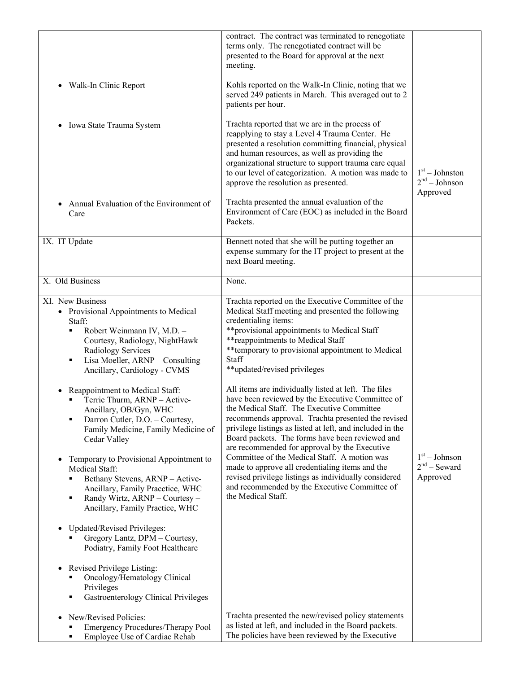| Walk-In Clinic Report<br>$\bullet$<br>Iowa State Trauma System<br>$\bullet$<br>Annual Evaluation of the Environment of<br>Care                                                                                                                                                                                                                                                                                                                                                                                                                                                                                                                                                                                                                                                                                                                                                                                                                                                                                                                                            | contract. The contract was terminated to renegotiate<br>terms only. The renegotiated contract will be<br>presented to the Board for approval at the next<br>meeting.<br>Kohls reported on the Walk-In Clinic, noting that we<br>served 249 patients in March. This averaged out to 2<br>patients per hour.<br>Trachta reported that we are in the process of<br>reapplying to stay a Level 4 Trauma Center. He<br>presented a resolution committing financial, physical<br>and human resources, as well as providing the<br>organizational structure to support trauma care equal<br>to our level of categorization. A motion was made to<br>approve the resolution as presented.<br>Trachta presented the annual evaluation of the<br>Environment of Care (EOC) as included in the Board<br>Packets.                                                                                                                                                                                                                                                                                                       | $1st - Johnston$<br>$2nd - Johnson$<br>Approved |
|---------------------------------------------------------------------------------------------------------------------------------------------------------------------------------------------------------------------------------------------------------------------------------------------------------------------------------------------------------------------------------------------------------------------------------------------------------------------------------------------------------------------------------------------------------------------------------------------------------------------------------------------------------------------------------------------------------------------------------------------------------------------------------------------------------------------------------------------------------------------------------------------------------------------------------------------------------------------------------------------------------------------------------------------------------------------------|-------------------------------------------------------------------------------------------------------------------------------------------------------------------------------------------------------------------------------------------------------------------------------------------------------------------------------------------------------------------------------------------------------------------------------------------------------------------------------------------------------------------------------------------------------------------------------------------------------------------------------------------------------------------------------------------------------------------------------------------------------------------------------------------------------------------------------------------------------------------------------------------------------------------------------------------------------------------------------------------------------------------------------------------------------------------------------------------------------------|-------------------------------------------------|
| IX. IT Update                                                                                                                                                                                                                                                                                                                                                                                                                                                                                                                                                                                                                                                                                                                                                                                                                                                                                                                                                                                                                                                             | Bennett noted that she will be putting together an<br>expense summary for the IT project to present at the<br>next Board meeting.                                                                                                                                                                                                                                                                                                                                                                                                                                                                                                                                                                                                                                                                                                                                                                                                                                                                                                                                                                           |                                                 |
| X. Old Business                                                                                                                                                                                                                                                                                                                                                                                                                                                                                                                                                                                                                                                                                                                                                                                                                                                                                                                                                                                                                                                           | None.                                                                                                                                                                                                                                                                                                                                                                                                                                                                                                                                                                                                                                                                                                                                                                                                                                                                                                                                                                                                                                                                                                       |                                                 |
| XI. New Business<br>• Provisional Appointments to Medical<br>Staff:<br>Robert Weinmann IV, M.D. -<br>٠<br>Courtesy, Radiology, NightHawk<br><b>Radiology Services</b><br>Lisa Moeller, ARNP - Consulting -<br>٠<br>Ancillary, Cardiology - CVMS<br>Reappointment to Medical Staff:<br>Terrie Thurm, ARNP - Active-<br>Ancillary, OB/Gyn, WHC<br>Darron Cutler, D.O. - Courtesy,<br>٠<br>Family Medicine, Family Medicine of<br>Cedar Valley<br>Temporary to Provisional Appointment to<br>$\bullet$<br>Medical Staff:<br>Bethany Stevens, ARNP - Active-<br>٠<br>Ancillary, Family Pracctice, WHC<br>Randy Wirtz, ARNP - Courtesy -<br>٠<br>Ancillary, Family Practice, WHC<br><b>Updated/Revised Privileges:</b><br>$\bullet$<br>Gregory Lantz, DPM - Courtesy,<br>Podiatry, Family Foot Healthcare<br>Revised Privilege Listing:<br>$\bullet$<br>Oncology/Hematology Clinical<br>Privileges<br><b>Gastroenterology Clinical Privileges</b><br>٠<br>New/Revised Policies:<br>$\bullet$<br><b>Emergency Procedures/Therapy Pool</b><br>Employee Use of Cardiac Rehab<br>٠ | Trachta reported on the Executive Committee of the<br>Medical Staff meeting and presented the following<br>credentialing items:<br>**provisional appointments to Medical Staff<br>** reappointments to Medical Staff<br>** temporary to provisional appointment to Medical<br>Staff<br>**updated/revised privileges<br>All items are individually listed at left. The files<br>have been reviewed by the Executive Committee of<br>the Medical Staff. The Executive Committee<br>recommends approval. Trachta presented the revised<br>privilege listings as listed at left, and included in the<br>Board packets. The forms have been reviewed and<br>are recommended for approval by the Executive<br>Committee of the Medical Staff. A motion was<br>made to approve all credentialing items and the<br>revised privilege listings as individually considered<br>and recommended by the Executive Committee of<br>the Medical Staff.<br>Trachta presented the new/revised policy statements<br>as listed at left, and included in the Board packets.<br>The policies have been reviewed by the Executive | $1st - Johnson$<br>$2nd$ – Seward<br>Approved   |